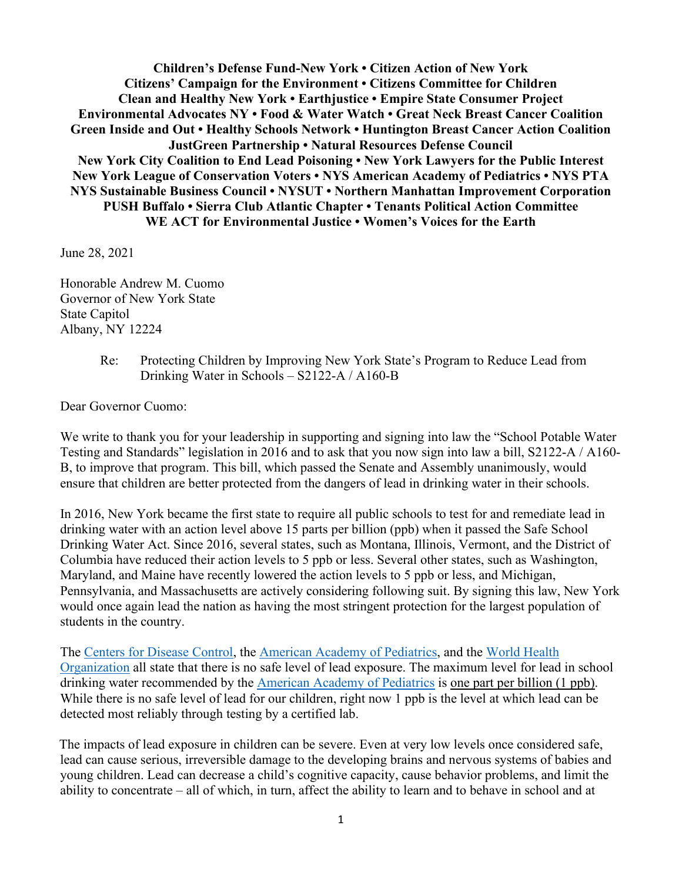**Children's Defense Fund-New York • Citizen Action of New York Citizens' Campaign for the Environment • Citizens Committee for Children Clean and Healthy New York • Earthjustice • Empire State Consumer Project Environmental Advocates NY • Food & Water Watch • Great Neck Breast Cancer Coalition Green Inside and Out • Healthy Schools Network • Huntington Breast Cancer Action Coalition JustGreen Partnership • Natural Resources Defense Council New York City Coalition to End Lead Poisoning • New York Lawyers for the Public Interest New York League of Conservation Voters • NYS American Academy of Pediatrics • NYS PTA NYS Sustainable Business Council • NYSUT • Northern Manhattan Improvement Corporation PUSH Buffalo • Sierra Club Atlantic Chapter • Tenants Political Action Committee WE ACT for Environmental Justice • Women's Voices for the Earth** 

June 28, 2021

Honorable Andrew M. Cuomo Governor of New York State State Capitol Albany, NY 12224

> Re: Protecting Children by Improving New York State's Program to Reduce Lead from Drinking Water in Schools – S2122-A / A160-B

Dear Governor Cuomo:

We write to thank you for your leadership in supporting and signing into law the "School Potable Water Testing and Standards" legislation in 2016 and to ask that you now sign into law a bill, S2122-A / A160- B, to improve that program. This bill, which passed the Senate and Assembly unanimously, would ensure that children are better protected from the dangers of lead in drinking water in their schools.

In 2016, New York became the first state to require all public schools to test for and remediate lead in drinking water with an action level above 15 parts per billion (ppb) when it passed the Safe School Drinking Water Act. Since 2016, several states, such as Montana, Illinois, Vermont, and the District of Columbia have reduced their action levels to 5 ppb or less. Several other states, such as Washington, Maryland, and Maine have recently lowered the action levels to 5 ppb or less, and Michigan, Pennsylvania, and Massachusetts are actively considering following suit. By signing this law, New York would once again lead the nation as having the most stringent protection for the largest population of students in the country.

Th[e](https://www.cdc.gov/nceh/lead/acclpp/blood_lead_levels.htm) [Centers for Disease Control](https://www.cdc.gov/nceh/lead/data/blood-lead-reference-value.htm?CDC_AA_refVal=https%3A%2F%2Fwww.cdc.gov%2Fnceh%2Flead%2Facclpp%2Fblood_lead_levels.htm)[,](https://www.cdc.gov/nceh/lead/acclpp/blood_lead_levels.htm) [t](https://www.aap.org/en-us/advocacy-and-policy/aap-health-initiatives/lead-exposure/Pages/Lead-Exposure-in-Children.aspx)he [American Academy of Pediatrics,](https://www.aap.org/en-us/advocacy-and-policy/aap-health-initiatives/lead-exposure/Pages/Lead-Exposure-in-Children.aspx) and the [World Health](https://www.who.int/en/news-room/fact-sheets/detail/lead-poisoning-and-health)  [Organization](https://www.who.int/en/news-room/fact-sheets/detail/lead-poisoning-and-health) all state that there is no safe level of lead exposure. The maximum level for lead in school drinking water recommended by the [American Academy of Pediatrics](https://pediatrics.aappublications.org/content/138/1/e20161493) is one part per billion (1 ppb). While there is no safe level of lead for our children, right now 1 ppb is the level at which lead can be detected most reliably through testing by a certified lab.

The impacts of lead exposure in children can be severe. Even at very low levels once considered safe, lead can cause serious, irreversible damage to the developing brains and nervous systems of babies and young children. Lead can decrease a child's cognitive capacity, cause behavior problems, and limit the ability to concentrate – all of which, in turn, affect the ability to learn and to behave in school and at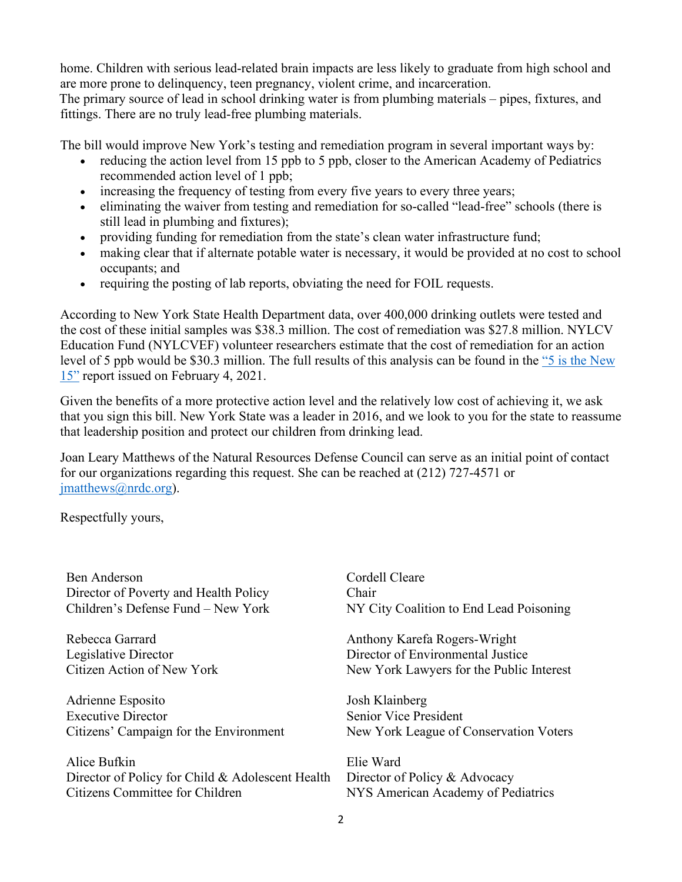home. Children with serious lead-related brain impacts are less likely to graduate from high school and are more prone to delinquency, teen pregnancy, violent crime, and incarceration.

The primary source of lead in school drinking water is from plumbing materials – pipes, fixtures, and fittings. There are no truly lead-free plumbing materials.

The bill would improve New York's testing and remediation program in several important ways by:

- reducing the action level from 15 ppb to 5 ppb, closer to the American Academy of Pediatrics recommended action level of 1 ppb;
- increasing the frequency of testing from every five years to every three years;
- eliminating the waiver from testing and remediation for so-called "lead-free" schools (there is still lead in plumbing and fixtures);
- providing funding for remediation from the state's clean water infrastructure fund;
- making clear that if alternate potable water is necessary, it would be provided at no cost to school occupants; and
- requiring the posting of lab reports, obviating the need for FOIL requests.

According to New York State Health Department data, over 400,000 drinking outlets were tested and the cost of these initial samples was \$38.3 million. The cost of remediation was \$27.8 million. NYLCV Education Fund (NYLCVEF) volunteer researchers estimate that the cost of remediation for an action level of 5 ppb would be \$30.3 million. The full results of this analysis can be found in the ["5 is the New](https://nylcvef.org/wp-content/uploads/2021/02/Lead-Report_drinking-water.pdf)  [15"](https://nylcvef.org/wp-content/uploads/2021/02/Lead-Report_drinking-water.pdf) report issued on February 4, 2021.

Given the benefits of a more protective action level and the relatively low cost of achieving it, we ask that you sign this bill. New York State was a leader in 2016, and we look to you for the state to reassume that leadership position and protect our children from drinking lead.

Joan Leary Matthews of the Natural Resources Defense Council can serve as an initial point of contact for our organizations regarding this request. She can be reached at (212) 727-4571 or [jmatthews@nrdc.org\)](mailto:jmatthews@nrdc.org).

Respectfully yours,

| Ben Anderson                                     | Cordell Cleare                           |
|--------------------------------------------------|------------------------------------------|
| Director of Poverty and Health Policy            | Chair                                    |
| Children's Defense Fund - New York               | NY City Coalition to End Lead Poisoning  |
| Rebecca Garrard                                  | Anthony Karefa Rogers-Wright             |
| Legislative Director                             | Director of Environmental Justice        |
| Citizen Action of New York                       | New York Lawyers for the Public Interest |
| Adrienne Esposito                                | Josh Klainberg                           |
| <b>Executive Director</b>                        | <b>Senior Vice President</b>             |
| Citizens' Campaign for the Environment           | New York League of Conservation Voters   |
| Alice Bufkin                                     | Elie Ward                                |
| Director of Policy for Child & Adolescent Health | Director of Policy & Advocacy            |
| Citizens Committee for Children                  | NYS American Academy of Pediatrics       |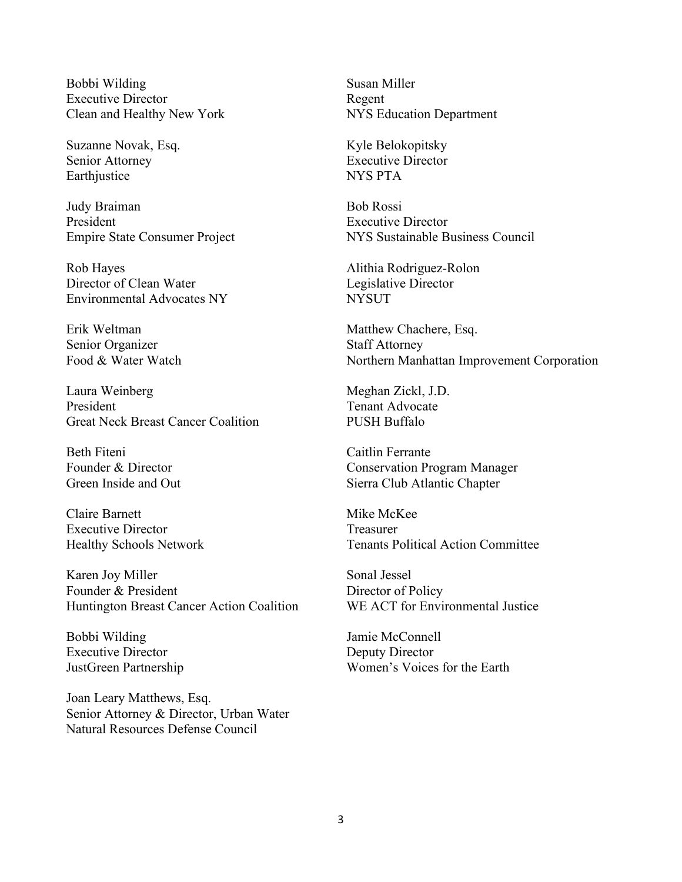Bobbi Wilding Executive Director Clean and Healthy New York

Suzanne Novak, Esq. Senior Attorney Earthjustice

Judy Braiman President Empire State Consumer Project

Rob Hayes Director of Clean Water Environmental Advocates NY

Erik Weltman Senior Organizer Food & Water Watch

Laura Weinberg President Great Neck Breast Cancer Coalition

Beth Fiteni Founder & Director Green Inside and Out

Claire Barnett Executive Director Healthy Schools Network

Karen Joy Miller Founder & President Huntington Breast Cancer Action Coalition

Bobbi Wilding Executive Director JustGreen Partnership

Joan Leary Matthews, Esq. Senior Attorney & Director, Urban Water Natural Resources Defense Council

Susan Miller Regent NYS Education Department

Kyle Belokopitsky Executive Director NYS PTA

Bob Rossi Executive Director NYS Sustainable Business Council

Alithia Rodriguez-Rolon Legislative Director **NYSUT** 

Matthew Chachere, Esq. Staff Attorney Northern Manhattan Improvement Corporation

Meghan Zickl, J.D. Tenant Advocate PUSH Buffalo

Caitlin Ferrante Conservation Program Manager Sierra Club Atlantic Chapter

Mike McKee Treasurer Tenants Political Action Committee

Sonal Jessel Director of Policy WE ACT for Environmental Justice

Jamie McConnell Deputy Director Women's Voices for the Earth